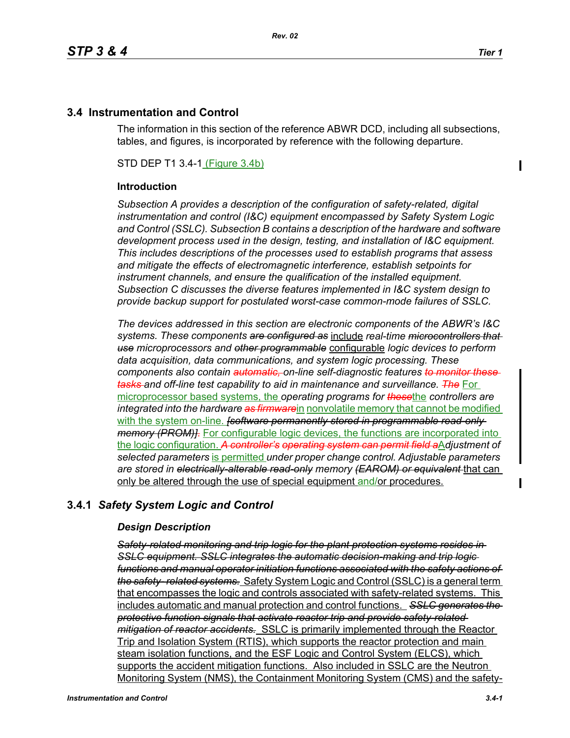Π

## **3.4 Instrumentation and Control**

The information in this section of the reference ABWR DCD, including all subsections, tables, and figures, is incorporated by reference with the following departure.

STD DEP T1 3.4-1 (Figure 3.4b)

#### **Introduction**

*Subsection A provides a description of the configuration of safety-related, digital instrumentation and control (I&C) equipment encompassed by Safety System Logic and Control (SSLC). Subsection B contains a description of the hardware and software development process used in the design, testing, and installation of I&C equipment. This includes descriptions of the processes used to establish programs that assess and mitigate the effects of electromagnetic interference, establish setpoints for instrument channels, and ensure the qualification of the installed equipment. Subsection C discusses the diverse features implemented in I&C system design to provide backup support for postulated worst-case common-mode failures of SSLC.*

*The devices addressed in this section are electronic components of the ABWR's I&C systems. These components are configured as* include *real-time microcontrollers that use microprocessors and other programmable* configurable *logic devices to perform data acquisition, data communications, and system logic processing. These components also contain automatic, on-line self-diagnostic features to monitor these tasks and off-line test capability to aid in maintenance and surveillance. The* For microprocessor based systems, the *operating programs for these*the *controllers are integrated into the hardware as firmware*in nonvolatile memory that cannot be modified with the system on-line. *[software permanently stored in programmable read-only memory (PROM)]*. For configurable logic devices, the functions are incorporated into the logic configuration. *A controller's operating system can permit field a*A*djustment of selected parameters* is permitted *under proper change control. Adjustable parameters are stored in electrically-alterable read-only memory (EAROM) or equivalent* that can only be altered through the use of special equipment and/or procedures.

# **3.4.1** *Safety System Logic and Control*

### *Design Description*

*Safety-related monitoring and trip logic for the plant protection systems resides in SSLC equipment. SSLC integrates the automatic decision-making and trip logic functions and manual operator initiation functions associated with the safety actions of the safety- related systems.* Safety System Logic and Control (SSLC) is a general term that encompasses the logic and controls associated with safety-related systems. This includes automatic and manual protection and control functions. *SSLC generates the protective function signals that activate reactor trip and provide safety-related mitigation of reactor accidents.* SSLC is primarily implemented through the Reactor Trip and Isolation System (RTIS), which supports the reactor protection and main steam isolation functions, and the ESF Logic and Control System (ELCS), which supports the accident mitigation functions. Also included in SSLC are the Neutron Monitoring System (NMS), the Containment Monitoring System (CMS) and the safety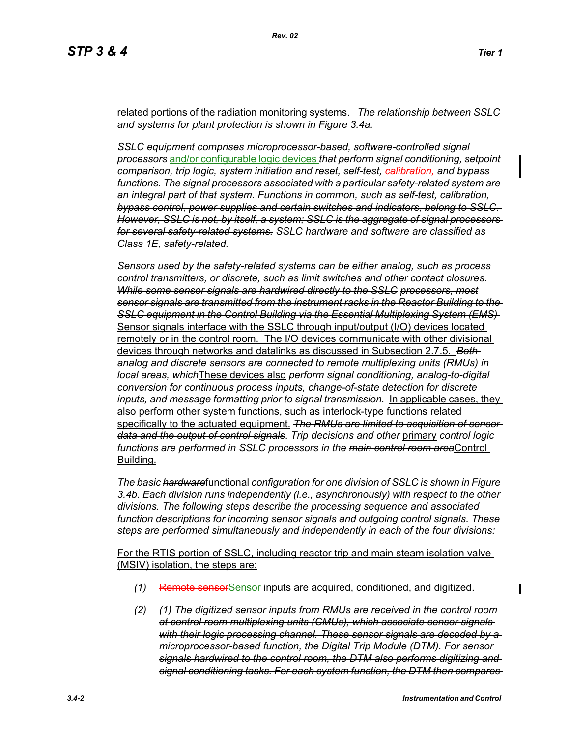related portions of the radiation monitoring systems. *The relationship between SSLC and systems for plant protection is shown in Figure 3.4a.*

*SSLC equipment comprises microprocessor-based, software-controlled signal processors* and/or configurable logic devices *that perform signal conditioning, setpoint comparison, trip logic, system initiation and reset, self-test, calibration, and bypass functions. The signal processors associated with a particular safety-related system are an integral part of that system. Functions in common, such as self-test, calibration, bypass control, power supplies and certain switches and indicators, belong to SSLC. However, SSLC is not, by itself, a system; SSLC is the aggregate of signal processors for several safety-related systems. SSLC hardware and software are classified as Class 1E, safety-related.*

*Sensors used by the safety-related systems can be either analog, such as process control transmitters, or discrete, such as limit switches and other contact closures. While some sensor signals are hardwired directly to the SSLC processors, most sensor signals are transmitted from the instrument racks in the Reactor Building to the SSLC equipment in the Control Building via the Essential Multiplexing System (EMS)*  Sensor signals interface with the SSLC through input/output (I/O) devices located remotely or in the control room. The I/O devices communicate with other divisional devices through networks and datalinks as discussed in Subsection 2.7.5. *Both analog and discrete sensors are connected to remote multiplexing units (RMUs) in local areas, which*These devices also *perform signal conditioning, analog-to-digital conversion for continuous process inputs, change-of-state detection for discrete inputs, and message formatting prior to signal transmission.* In applicable cases, they also perform other system functions, such as interlock-type functions related specifically to the actuated equipment. *The RMUs are limited to acquisition of sensor data and the output of control signals*. *Trip decisions and other* primary *control logic functions are performed in SSLC processors in the main control room area*Control Building.

*The basic hardware*functional *configuration for one division of SSLC is shown in Figure 3.4b. Each division runs independently (i.e., asynchronously) with respect to the other divisions. The following steps describe the processing sequence and associated function descriptions for incoming sensor signals and outgoing control signals. These steps are performed simultaneously and independently in each of the four divisions:*

For the RTIS portion of SSLC, including reactor trip and main steam isolation valve (MSIV) isolation, the steps are:

- *(1)* Remote sensorSensor inputs are acquired, conditioned, and digitized.
- *(2) (1) The digitized sensor inputs from RMUs are received in the control room at control room multiplexing units (CMUs), which associate sensor signals with their logic processing channel. These sensor signals are decoded by a microprocessor-based function, the Digital Trip Module (DTM). For sensor signals hardwired to the control room, the DTM also performs digitizing and signal conditioning tasks. For each system function, the DTM then compares*

Π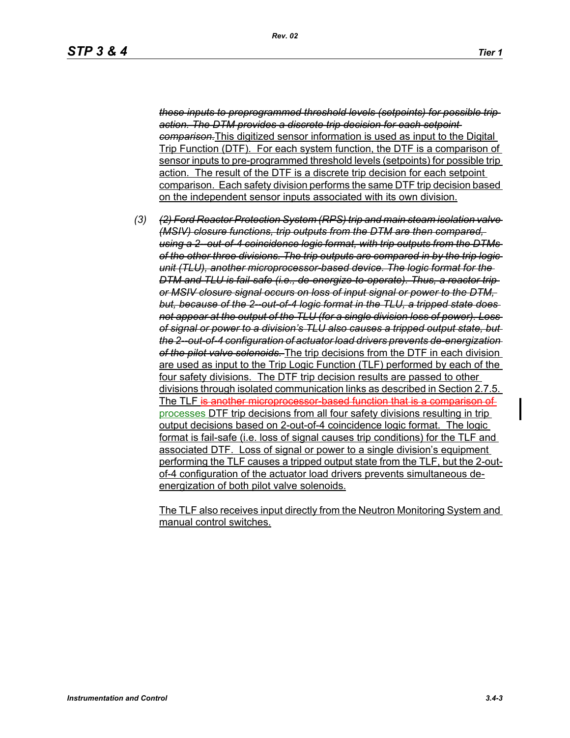*these inputs to preprogrammed threshold levels (setpoints) for possible trip action. The DTM provides a discrete trip decision for each setpoint comparison.*This digitized sensor information is used as input to the Digital Trip Function (DTF). For each system function, the DTF is a comparison of sensor inputs to pre-programmed threshold levels (setpoints) for possible trip action. The result of the DTF is a discrete trip decision for each setpoint comparison. Each safety division performs the same DTF trip decision based on the independent sensor inputs associated with its own division.

*(3) (2) Ford Reactor Protection System (RPS) trip and main steam isolation valve (MSIV) closure functions, trip outputs from the DTM are then compared, using a 2--out-of-4 coincidence logic format, with trip outputs from the DTMs of the other three divisions. The trip outputs are compared in by the trip logic unit (TLU), another microprocessor-based device. The logic format for the DTM and TLU is fail-safe (i.e., de-energize-to-operate). Thus, a reactor trip or MSIV closure signal occurs on loss of input signal or power to the DTM, but, because of the 2--out-of-4 logic format in the TLU, a tripped state does not appear at the output of the TLU (for a single division loss of power). Loss of signal or power to a division's TLU also causes a tripped output state, but the 2--out-of-4 configuration of actuator load drivers prevents de-energization of the pilot valve solenoids.* The trip decisions from the DTF in each division are used as input to the Trip Logic Function (TLF) performed by each of the four safety divisions. The DTF trip decision results are passed to other divisions through isolated communication links as described in Section 2.7.5. The TLF is another microprocessor-based function that is a comparison of processes DTF trip decisions from all four safety divisions resulting in trip output decisions based on 2-out-of-4 coincidence logic format. The logic format is fail-safe (i.e. loss of signal causes trip conditions) for the TLF and associated DTF. Loss of signal or power to a single division's equipment performing the TLF causes a tripped output state from the TLF, but the 2-outof-4 configuration of the actuator load drivers prevents simultaneous deenergization of both pilot valve solenoids.

The TLF also receives input directly from the Neutron Monitoring System and manual control switches.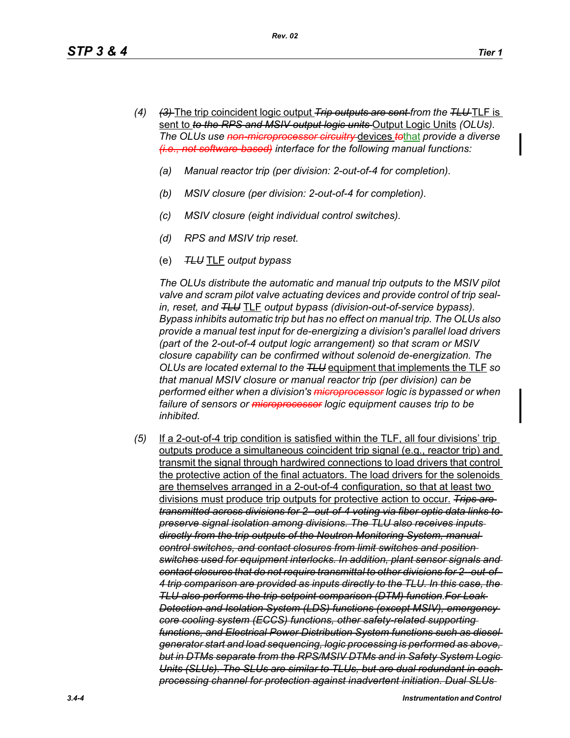- *(4) (3)* The trip coincident logic output *Trip outputs are sent from the TLU* TLF is sent to *to the RPS and MSIV output logic units* Output Logic Units *(OLUs). The OLUs use non-microprocessor circuitry* devices *to*that *provide a diverse (i.e., not software-based) interface for the following manual functions:*
	- *(a) Manual reactor trip (per division: 2-out-of-4 for completion).*
	- *(b) MSIV closure (per division: 2-out-of-4 for completion).*
	- *(c) MSIV closure (eight individual control switches).*
	- *(d) RPS and MSIV trip reset.*
	- (e) *TLU* TLF *output bypass*

*The OLUs distribute the automatic and manual trip outputs to the MSIV pilot valve and scram pilot valve actuating devices and provide control of trip sealin, reset, and TLU* TLF *output bypass (division-out-of-service bypass). Bypass inhibits automatic trip but has no effect on manual trip. The OLUs also provide a manual test input for de-energizing a division's parallel load drivers (part of the 2-out-of-4 output logic arrangement) so that scram or MSIV closure capability can be confirmed without solenoid de-energization. The OLUs are located external to the TLU* equipment that implements the TLF *so that manual MSIV closure or manual reactor trip (per division) can be performed either when a division's microprocessor logic is bypassed or when failure of sensors or microprocessor logic equipment causes trip to be inhibited.*

*(5)* If a 2-out-of-4 trip condition is satisfied within the TLF, all four divisions' trip outputs produce a simultaneous coincident trip signal (e.g., reactor trip) and transmit the signal through hardwired connections to load drivers that control the protective action of the final actuators. The load drivers for the solenoids are themselves arranged in a 2-out-of-4 configuration, so that at least two divisions must produce trip outputs for protective action to occur. *Trips are transmitted across divisions for 2--out-of-4 voting via fiber optic data links to preserve signal isolation among divisions. The TLU also receives inputs directly from the trip outputs of the Neutron Monitoring System, manual control switches, and contact closures from limit switches and position switches used for equipment interlocks. In addition, plant sensor signals and contact closures that do not require transmittal to other divisions for 2--out-of-4 trip comparison are provided as inputs directly to the TLU. In this case, the TLU also performs the trip setpoint comparison (DTM) function.For Leak Detection and Isolation System (LDS) functions (except MSIV), emergency core cooling system (ECCS) functions, other safety-related supporting functions, and Electrical Power Distribution System functions such as diesel generator start and load sequencing, logic processing is performed as above, but in DTMs separate from the RPS/MSIV DTMs and in Safety System Logic Units (SLUs). The SLUs are similar to TLUs, but are dual redundant in each processing channel for protection against inadvertent initiation. Dual SLUs*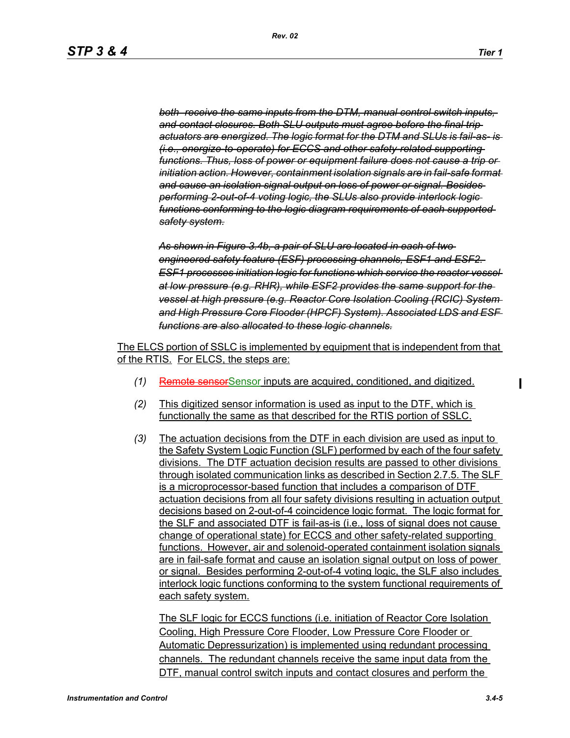*both receive the same inputs from the DTM, manual control switch inputs, and contact closures. Both SLU outputs must agree before the final trip actuators are energized. The logic format for the DTM and SLUs is fail-as- is (i.e., energize-to-operate) for ECCS and other safety-related supporting functions. Thus, loss of power or equipment failure does not cause a trip or initiation action. However, containment isolation signals are in fail-safe format and cause an isolation signal output on loss of power or signal. Besides performing 2-out-of-4 voting logic, the SLUs also provide interlock logic functions conforming to the logic diagram requirements of each supported safety system.*

*As shown in Figure 3.4b, a pair of SLU are located in each of two engineered safety feature (ESF) processing channels, ESF1 and ESF2. ESF1 processes initiation logic for functions which service the reactor vessel at low pressure (e.g. RHR), while ESF2 provides the same support for the vessel at high pressure (e.g. Reactor Core Isolation Cooling (RCIC) System and High Pressure Core Flooder (HPCF) System). Associated LDS and ESF functions are also allocated to these logic channels.*

The ELCS portion of SSLC is implemented by equipment that is independent from that of the RTIS. For ELCS, the steps are:

- *(1)* Remote sensorSensor inputs are acquired, conditioned, and digitized.
- *(2)* This digitized sensor information is used as input to the DTF, which is functionally the same as that described for the RTIS portion of SSLC.
- *(3)* The actuation decisions from the DTF in each division are used as input to the Safety System Logic Function (SLF) performed by each of the four safety divisions. The DTF actuation decision results are passed to other divisions through isolated communication links as described in Section 2.7.5. The SLF is a microprocessor-based function that includes a comparison of DTF actuation decisions from all four safety divisions resulting in actuation output decisions based on 2-out-of-4 coincidence logic format. The logic format for the SLF and associated DTF is fail-as-is (i.e., loss of signal does not cause change of operational state) for ECCS and other safety-related supporting functions. However, air and solenoid-operated containment isolation signals are in fail-safe format and cause an isolation signal output on loss of power or signal. Besides performing 2-out-of-4 voting logic, the SLF also includes interlock logic functions conforming to the system functional requirements of each safety system.

The SLF logic for ECCS functions (i.e. initiation of Reactor Core Isolation Cooling, High Pressure Core Flooder, Low Pressure Core Flooder or Automatic Depressurization) is implemented using redundant processing channels. The redundant channels receive the same input data from the DTF, manual control switch inputs and contact closures and perform the

П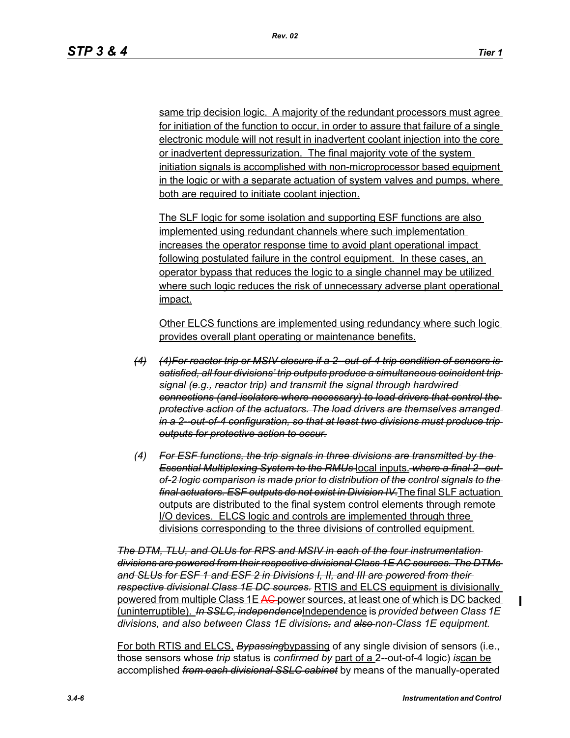same trip decision logic. A majority of the redundant processors must agree for initiation of the function to occur, in order to assure that failure of a single electronic module will not result in inadvertent coolant injection into the core or inadvertent depressurization. The final majority vote of the system initiation signals is accomplished with non-microprocessor based equipment in the logic or with a separate actuation of system valves and pumps, where both are required to initiate coolant injection.

The SLF logic for some isolation and supporting ESF functions are also implemented using redundant channels where such implementation increases the operator response time to avoid plant operational impact following postulated failure in the control equipment. In these cases, an operator bypass that reduces the logic to a single channel may be utilized where such logic reduces the risk of unnecessary adverse plant operational impact.

Other ELCS functions are implemented using redundancy where such logic provides overall plant operating or maintenance benefits.

- *(4) (4)For reactor trip or MSIV closure if a 2--out-of-4 trip condition of sensors is satisfied, all four divisions' trip outputs produce a simultaneous coincident trip signal (e.g., reactor trip) and transmit the signal through hardwired connections (and isolators where necessary) to load drivers that control the protective action of the actuators. The load drivers are themselves arranged in a 2--out-of-4 configuration, so that at least two divisions must produce trip outputs for protective action to occur.*
- *(4) For ESF functions, the trip signals in three divisions are transmitted by the*  **Essential Multiplexing System to the RMUs local inputs. where a final 2-out***of-2 logic comparison is made prior to distribution of the control signals to the final actuators. ESF outputs do not exist in Division IV.*The final SLF actuation outputs are distributed to the final system control elements through remote I/O devices. ELCS logic and controls are implemented through three divisions corresponding to the three divisions of controlled equipment.

*The DTM, TLU, and OLUs for RPS and MSIV in each of the four instrumentation divisions are powered from their respective divisional Class 1E AC sources. The DTMs and SLUs for ESF 1 and ESF 2 in Divisions I, II, and III are powered from their respective divisional Class 1E DC sources.* RTIS and ELCS equipment is divisionally powered from multiple Class 1E AC power sources, at least one of which is DC backed (uninterruptible). *In SSLC, independence*Independence is *provided between Class 1E divisions, and also between Class 1E divisions, and also non-Class 1E equipment.*

For both RTIS and ELCS, *Bypassing*bypassing of any single division of sensors (i.e., those sensors whose *trip* status is *confirmed by* part of a 2*-*-out-of-4 logic) *is*can be accomplished *from each divisional SSLC cabinet* by means of the manually-operated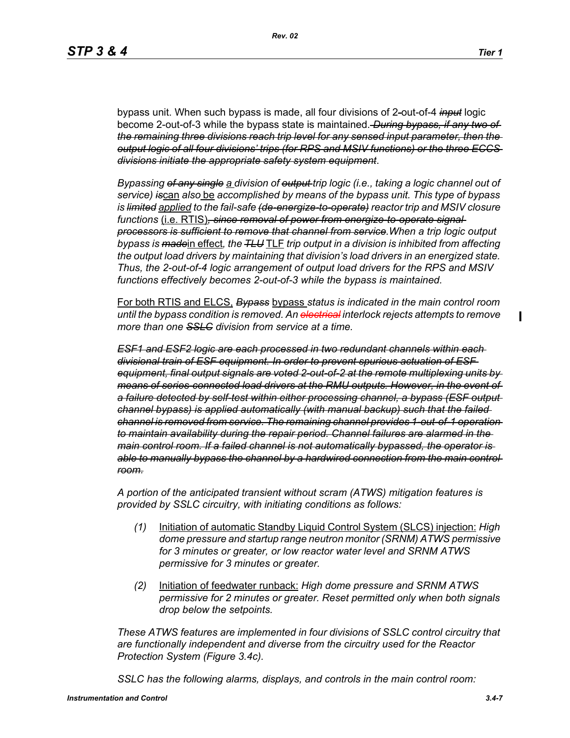П

bypass unit. When such bypass is made, all four divisions of 2*-*out-of-4 *input* logic become 2-out-of-3 while the bypass state is maintained. *During bypass, if any two of the remaining three divisions reach trip level for any sensed input parameter, then the output logic of all four divisions' trips (for RPS and MSIV functions) or the three ECCS divisions initiate the appropriate safety system equipment*.

*Bypassing of any single a division of output trip logic (i.e., taking a logic channel out of service) is*can *also* be *accomplished by means of the bypass unit. This type of bypass is limited applied to the fail-safe (de-energize-to-operate) reactor trip and MSIV closure functions* (i.e. RTIS)*, since removal of power from energize-to-operate signal processors is sufficient to remove that channel from service.When a trip logic output bypass is made*in effect*, the TLU* TLF *trip output in a division is inhibited from affecting the output load drivers by maintaining that division's load drivers in an energized state. Thus, the 2-out-of-4 logic arrangement of output load drivers for the RPS and MSIV functions effectively becomes 2-out-of-3 while the bypass is maintained.*

For both RTIS and ELCS, *Bypass* bypass *status is indicated in the main control room until the bypass condition is removed. An electrical interlock rejects attempts to remove more than one SSLC division from service at a time.*

*ESF1 and ESF2 logic are each processed in two redundant channels within each divisional train of ESF equipment. In order to prevent spurious actuation of ESF equipment, final output signals are voted 2-out-of-2 at the remote multiplexing units by means of series-connected load drivers at the RMU outputs. However, in the event of a failure detected by self-test within either processing channel, a bypass (ESF output channel bypass) is applied automatically (with manual backup) such that the failed channel is removed from service. The remaining channel provides 1-out-of-1 operation to maintain availability during the repair period. Channel failures are alarmed in the main control room. If a failed channel is not automatically bypassed, the operator is able to manually bypass the channel by a hardwired connection from the main control room.*

*A portion of the anticipated transient without scram (ATWS) mitigation features is provided by SSLC circuitry, with initiating conditions as follows:*

- *(1)* Initiation of automatic Standby Liquid Control System (SLCS) injection: *High dome pressure and startup range neutron monitor (SRNM) ATWS permissive for 3 minutes or greater, or low reactor water level and SRNM ATWS permissive for 3 minutes or greater.*
- *(2)* Initiation of feedwater runback: *High dome pressure and SRNM ATWS permissive for 2 minutes or greater. Reset permitted only when both signals drop below the setpoints.*

*These ATWS features are implemented in four divisions of SSLC control circuitry that are functionally independent and diverse from the circuitry used for the Reactor Protection System (Figure 3.4c).*

*SSLC has the following alarms, displays, and controls in the main control room:*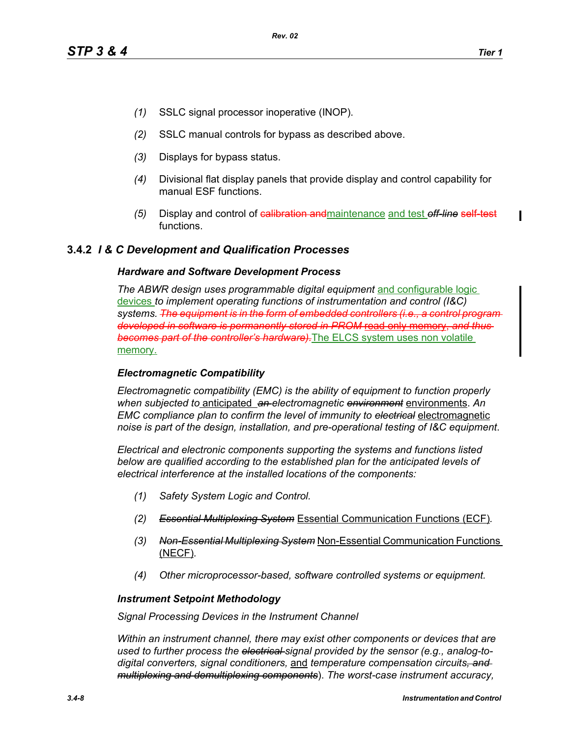- *(1)* SSLC signal processor inoperative (INOP).
- *(2)* SSLC manual controls for bypass as described above.
- *(3)* Displays for bypass status.
- *(4)* Divisional flat display panels that provide display and control capability for manual ESF functions.
- *(5)* Display and control of calibration andmaintenance and test *off-line* self-test functions.

## **3.4.2** *I & C Development and Qualification Processes*

#### *Hardware and Software Development Process*

*The ABWR design uses programmable digital equipment* and configurable logic devices *to implement operating functions of instrumentation and control (I&C) systems. The equipment is in the form of embedded controllers (i.e., a control program developed in software is permanently stored in PROM* read *becomes part of the controller's hardware).*The ELCS system uses non volatile memory.

#### *Electromagnetic Compatibility*

*Electromagnetic compatibility (EMC) is the ability of equipment to function properly when subjected to* anticipated *an electromagnetic environment* environments. *An EMC compliance plan to confirm the level of immunity to electrical* electromagnetic *noise is part of the design, installation, and pre-operational testing of I&C equipment*.

*Electrical and electronic components supporting the systems and functions listed below are qualified according to the established plan for the anticipated levels of electrical interference at the installed locations of the components:*

- *(1) Safety System Logic and Control.*
- *(2) Essential Multiplexing System* Essential Communication Functions (ECF)*.*
- *(3) Non-Essential Multiplexing System* Non-Essential Communication Functions (NECF)*.*
- *(4) Other microprocessor-based, software controlled systems or equipment.*

#### *Instrument Setpoint Methodology*

*Signal Processing Devices in the Instrument Channel*

*Within an instrument channel, there may exist other components or devices that are used to further process the electrical signal provided by the sensor (e.g., analog-todigital converters, signal conditioners,* and *temperature compensation circuits, and multiplexing and demultiplexing components*). *The worst-case instrument accuracy,*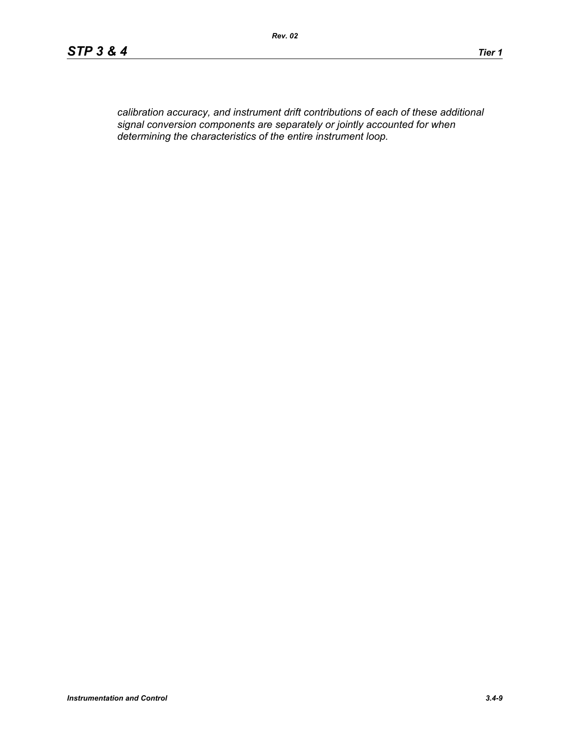*calibration accuracy, and instrument drift contributions of each of these additional signal conversion components are separately or jointly accounted for when determining the characteristics of the entire instrument loop.*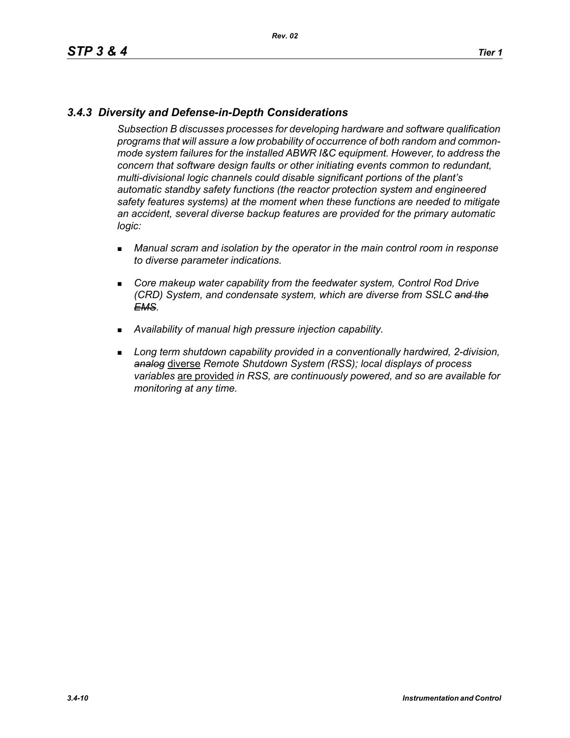# *3.4.3 Diversity and Defense-in-Depth Considerations*

*Subsection B discusses processes for developing hardware and software qualification programs that will assure a low probability of occurrence of both random and commonmode system failures for the installed ABWR I&C equipment. However, to address the concern that software design faults or other initiating events common to redundant, multi-divisional logic channels could disable significant portions of the plant's automatic standby safety functions (the reactor protection system and engineered safety features systems) at the moment when these functions are needed to mitigate an accident, several diverse backup features are provided for the primary automatic logic:*

- *Manual scram and isolation by the operator in the main control room in response to diverse parameter indications.*
- **EXP** Core makeup water capability from the feedwater system, Control Rod Drive *(CRD) System, and condensate system, which are diverse from SSLC and the EMS.*
- *Availability of manual high pressure injection capability.*
- **Long term shutdown capability provided in a conventionally hardwired, 2-division,** *analog* diverse *Remote Shutdown System (RSS); local displays of process variables* are provided *in RSS, are continuously powered, and so are available for monitoring at any time.*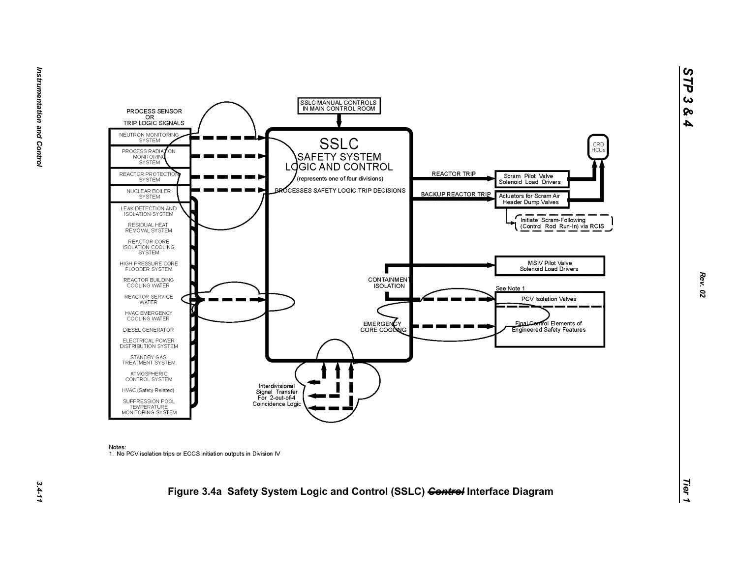

Notes:

1. No PCV isolation trips or ECCS initiation outputs in Division IV

# *Tier 1***Figure 3.4a Safety System Logic and Control (SSLC)** *Control* **Interface Diagram**

*STP 3 & 4*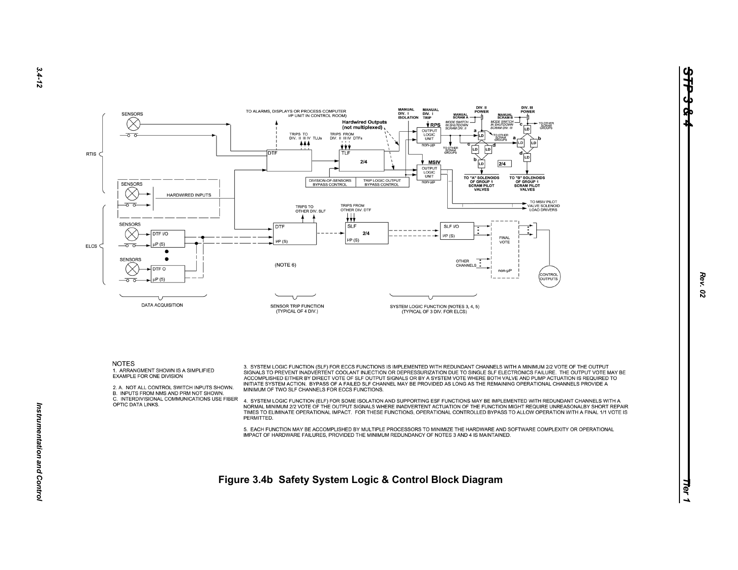

1. ARRANGMENT SHOWN IS A SIMPLIFIED EXAMPLE FOR ONE DIVISION

2. A. NOT ALL CONTROL SWITCH INPUTS SHOWN.

B. INPUTS FROM NMS AND PRM NOT SHOWN.

C. INTERDIVISIONAL COMMUNICATIONS USE FIBER OPTIC DATA LINKS.

ACCOMPLISHED EITHER BY DIRECT VOTE OF SLF OUTPUT SIGNALS OR BY A SYSTEM VOTE WHERE BOTH VALVE AND PUMP ACTUATION IS REQUIRED TO INITIATE SYSTEM ACTION. BYPASS OF A FAILED SLF CHANNEL MAY BE PROVIDED AS LONG AS THE REMAINING OPERATIONAL CHANNELS PROVIDE A MINIMUM OF TWO SLF CHANNELS FOR ECCS FUNCTIONS. 4. SYSTEM LOGIC FUNCTION (ELF) FOR SOME ISOLATION AND SUPPORTING ESF FUNCTIONS MAY BE IMPLEMENTED WITH REDUNDANT CHANNELS WITH A

SIGNALS TO PREVENT INADVERTENT COOLANT INJECTION OR DEPRESSURIZATION DUE TO SINGLE SLF ELECTRONICS FAILURE. THE OUTPUT VOTE MAY BE

NORMAL MINIMUM 2/2 VOTE OF THE OUTPUT SIGNALS WHERE INADVERTENT ACTUATION OF THE FUNCTION MIGHT REQUIRE UNREASONALBY SHORT REPAIR TIMES TO ELIMINATE OPERATIONAL IMPACT. FOR THESE FUNCTIONS, OPERATIONAL CONTROLLED BYPASS TO ALLOW OPERATION WITH A FINAL 1/1 VOTE IS PERMITTED.

5. EACH FUNCTION MAY BE ACCOMPLISHED BY MULTIPLE PROCESSORS TO MINIMIZE THE HARDWARE AND SOFTWARE COMPLEXITY OR OPERATIONAL IMPACT OF HARDWARE FAILURES, PROVIDED THE MINIMUM REDUNDANCY OF NOTES 3 AND 4 IS MAINTAINED.

3. SYSTEM LOGIC FUNCTION (SLF) FOR ECCS FUNCTIONS IS IMPLEMENTED WITH REDUNDANT CHANNELS WITH A MINIMUM 2/2 VOTE OF THE OUTPUT

*Tier 1* **Figure 3.4b Safety System Logic & Control Block Diagram**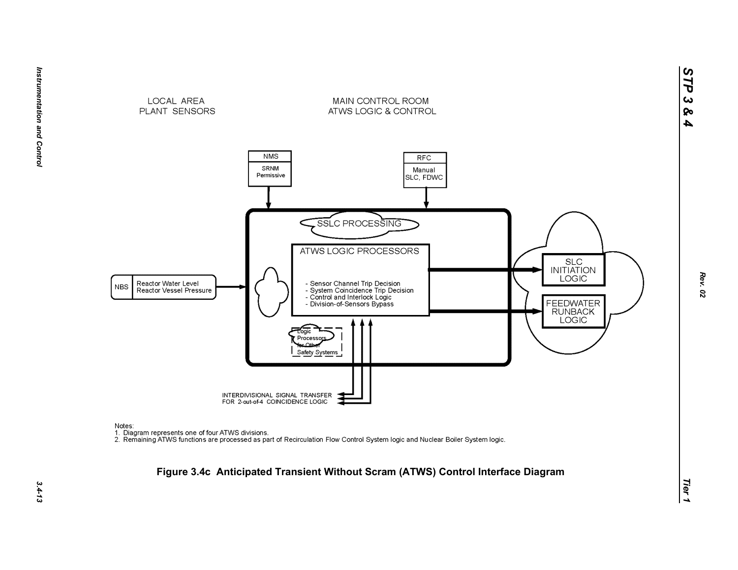

Notes:

nco.<br>1. Diagram represents one of four ATWS divisions.<br>2. Remaining ATWS functions are processed as part of Recirculation Flow Control System logic and Nuclear Boiler System logic.

#### **Figure 3.4c Anticipated Transient Without Scram (ATWS) Control Interface Diagram**

*STP 3 & 4*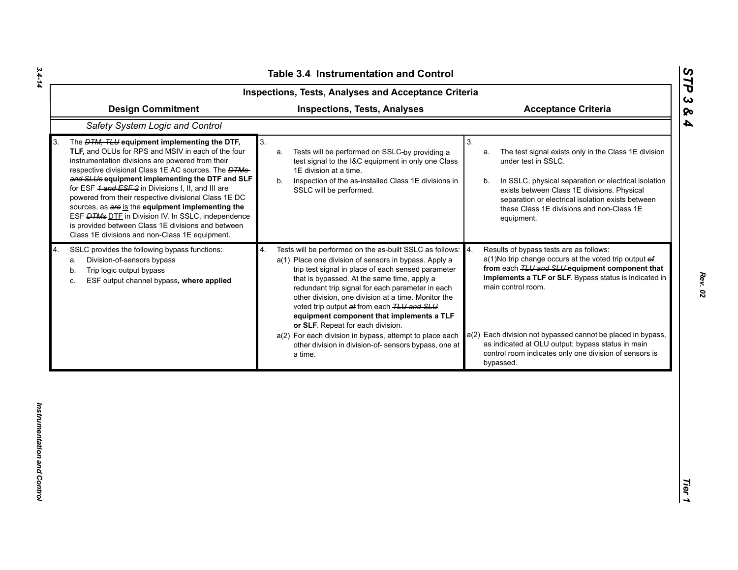|    | <b>Table 3.4 Instrumentation and Control</b><br><b>Inspections, Tests, Analyses and Acceptance Criteria</b><br><b>Design Commitment</b><br><b>Inspections, Tests, Analyses</b><br><b>Acceptance Criteria</b>                                                                                                                                                                                                                                                                                                                                                                                                            |                                                                                                                                                                                                                                                                                                                                                                                                                                                                                                                                                                                                           |                                                                                                                                                                                                                                                                                                                                                                                                                                    |  |  |
|----|-------------------------------------------------------------------------------------------------------------------------------------------------------------------------------------------------------------------------------------------------------------------------------------------------------------------------------------------------------------------------------------------------------------------------------------------------------------------------------------------------------------------------------------------------------------------------------------------------------------------------|-----------------------------------------------------------------------------------------------------------------------------------------------------------------------------------------------------------------------------------------------------------------------------------------------------------------------------------------------------------------------------------------------------------------------------------------------------------------------------------------------------------------------------------------------------------------------------------------------------------|------------------------------------------------------------------------------------------------------------------------------------------------------------------------------------------------------------------------------------------------------------------------------------------------------------------------------------------------------------------------------------------------------------------------------------|--|--|
|    |                                                                                                                                                                                                                                                                                                                                                                                                                                                                                                                                                                                                                         |                                                                                                                                                                                                                                                                                                                                                                                                                                                                                                                                                                                                           |                                                                                                                                                                                                                                                                                                                                                                                                                                    |  |  |
|    | Safety System Logic and Control                                                                                                                                                                                                                                                                                                                                                                                                                                                                                                                                                                                         |                                                                                                                                                                                                                                                                                                                                                                                                                                                                                                                                                                                                           |                                                                                                                                                                                                                                                                                                                                                                                                                                    |  |  |
| 3. | The <i>DTM, TLU</i> equipment implementing the DTF,<br>TLF, and OLUs for RPS and MSIV in each of the four<br>instrumentation divisions are powered from their<br>respective divisional Class 1E AC sources. The <b>DTMs</b><br>and SLUs equipment implementing the DTF and SLF<br>for ESF 4 and ESF 2 in Divisions I, II, and III are<br>powered from their respective divisional Class 1E DC<br>sources, as are is the equipment implementing the<br>ESF <b>DTMs DTE</b> in Division IV. In SSLC, independence<br>is provided between Class 1E divisions and between<br>Class 1E divisions and non-Class 1E equipment. | 3.<br>Tests will be performed on SSLC-by providing a<br>a.<br>test signal to the I&C equipment in only one Class<br>1E division at a time.<br>Inspection of the as-installed Class 1E divisions in<br>b.<br>SSLC will be performed.                                                                                                                                                                                                                                                                                                                                                                       | 3.<br>The test signal exists only in the Class 1E division<br>a.<br>under test in SSLC.<br>In SSLC, physical separation or electrical isolation<br>b.<br>exists between Class 1E divisions. Physical<br>separation or electrical isolation exists between<br>these Class 1E divisions and non-Class 1E<br>equipment.                                                                                                               |  |  |
| 4. | SSLC provides the following bypass functions:<br>Division-of-sensors bypass<br>а.<br>Trip logic output bypass<br>b.<br>ESF output channel bypass, where applied<br>c.                                                                                                                                                                                                                                                                                                                                                                                                                                                   | Tests will be performed on the as-built SSLC as follows: 4.<br>4.<br>a(1) Place one division of sensors in bypass. Apply a<br>trip test signal in place of each sensed parameter<br>that is bypassed. At the same time, apply a<br>redundant trip signal for each parameter in each<br>other division, one division at a time. Monitor the<br>voted trip output at from each TLU and SLU<br>equipment component that implements a TLF<br>or SLF. Repeat for each division.<br>a(2) For each division in bypass, attempt to place each<br>other division in division-of- sensors bypass, one at<br>a time. | Results of bypass tests are as follows:<br>$a(1)$ No trip change occurs at the voted trip output $ef$<br>from each TLU and SLU equipment component that<br>implements a TLF or SLF. Bypass status is indicated in<br>main control room.<br>a(2) Each division not bypassed cannot be placed in bypass,<br>as indicated at OLU output; bypass status in main<br>control room indicates only one division of sensors is<br>bypassed. |  |  |
|    |                                                                                                                                                                                                                                                                                                                                                                                                                                                                                                                                                                                                                         |                                                                                                                                                                                                                                                                                                                                                                                                                                                                                                                                                                                                           |                                                                                                                                                                                                                                                                                                                                                                                                                                    |  |  |

*Rev. 02*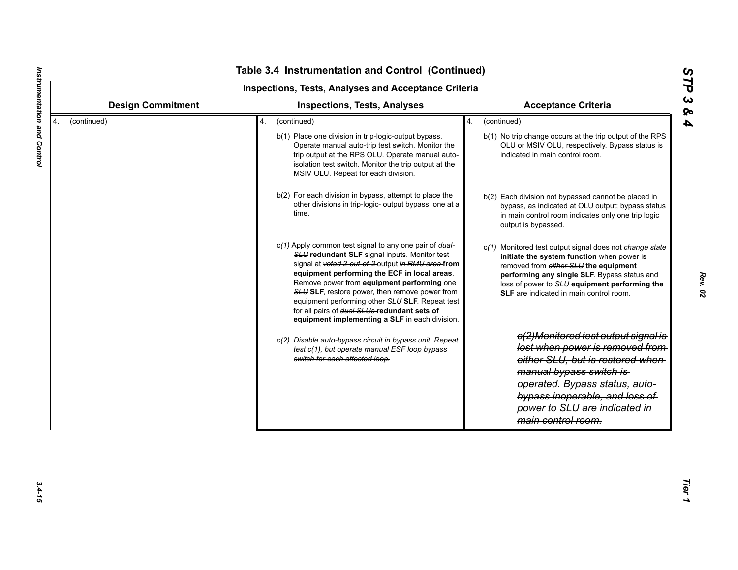| <b>Design Commitment</b> | <b>Inspections, Tests, Analyses</b>                                                                                                                                                                                                                                                                                                                                                                                                                                                                                                                                                                                                                                                                                                                                                                                                                                                                                                                                                                                                   | <b>Acceptance Criteria</b>                                                                                                                                                                                                                                                                                                                                                                                                                                                                                                                                                                                                                                                                                                                                                                                                                                                                                                              |
|--------------------------|---------------------------------------------------------------------------------------------------------------------------------------------------------------------------------------------------------------------------------------------------------------------------------------------------------------------------------------------------------------------------------------------------------------------------------------------------------------------------------------------------------------------------------------------------------------------------------------------------------------------------------------------------------------------------------------------------------------------------------------------------------------------------------------------------------------------------------------------------------------------------------------------------------------------------------------------------------------------------------------------------------------------------------------|-----------------------------------------------------------------------------------------------------------------------------------------------------------------------------------------------------------------------------------------------------------------------------------------------------------------------------------------------------------------------------------------------------------------------------------------------------------------------------------------------------------------------------------------------------------------------------------------------------------------------------------------------------------------------------------------------------------------------------------------------------------------------------------------------------------------------------------------------------------------------------------------------------------------------------------------|
| (continued)              | (continued)<br>4.<br>b(1) Place one division in trip-logic-output bypass.<br>Operate manual auto-trip test switch. Monitor the<br>trip output at the RPS OLU. Operate manual auto-<br>isolation test switch. Monitor the trip output at the<br>MSIV OLU. Repeat for each division.<br>b(2) For each division in bypass, attempt to place the<br>other divisions in trip-logic- output bypass, one at a<br>time.<br>c(4) Apply common test signal to any one pair of dual-<br>SLU redundant SLF signal inputs. Monitor test<br>signal at voted 2-out-of-2-output in RMU area from<br>equipment performing the ECF in local areas.<br>Remove power from equipment performing one<br>SLU SLF, restore power, then remove power from<br>equipment performing other SLU SLF. Repeat test<br>for all pairs of dual SLUs redundant sets of<br>equipment implementing a SLF in each division.<br>e(2) Disable auto-bypass circuit in bypass unit. Repeat-<br>test c(1), but operate manual ESF loop bypass-<br>switch for each affected loop. | (continued)<br>4.<br>b(1) No trip change occurs at the trip output of the RPS<br>OLU or MSIV OLU, respectively. Bypass status is<br>indicated in main control room.<br>b(2) Each division not bypassed cannot be placed in<br>bypass, as indicated at OLU output; bypass status<br>in main control room indicates only one trip logic<br>output is bypassed.<br>c(4) Monitored test output signal does not change state-<br>initiate the system function when power is<br>removed from either SLU the equipment<br>performing any single SLF. Bypass status and<br>loss of power to SLU-equipment performing the<br><b>SLF</b> are indicated in main control room.<br>e(2)Monitored test output signal is<br>lost when power is removed from<br>either SLU, but is restored when<br>manual bypass switch is<br>operated. Bypass status, auto-<br>bypass inoperable, and loss of<br>power to SLU are indicated in-<br>main control room. |